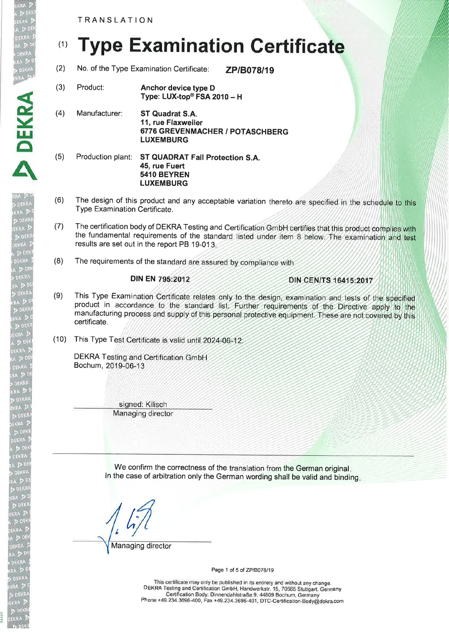TRANSLATION

# (1) Type Examination Certificate

- (2) No. of the Type Examination Certificate:  $ZP/B078/19$
- (3) Product: Anchor device type <sup>D</sup> Type: LUX-top<sup>®</sup> FSA 2010 - H
- (4) Manufacturer: ST Quadrat S.A. 11, rue Flaxweiler 6776 GREVENMACHER / POTASCHBERG LUXEMBURG
- (5) Production plant: ST QUADRAT Fall Protection S.A. 45, rue Fuert 5410 BEYREN LUXEMBURG
- (6) The design of this product and any acceptable variation thereto are specified in the schedule to this Type Examination Certificate.
- (7) The certification body of DEKRA Testing and Certification GmbH certifies that this product complies with the fundamental requirements of the standard listed under item 8 below. The examination and test results are set out in the report PB 19-013.
- (8) The requirements of the standard are assured by compliance with

# **DIN EN 795:2012**

DIN CEN/TS 16415:2017

- (9) This Type Examination Certificate relates only to the design, examination and tests of the specified product in accordance to the standard list. Further requirements of the Directive apply to the manufacturing p certificate.
- (10) This Type Test Certificate is valid until 2024-06-12

DEKRA Testing and Certification GmbH Bochum, 2019-06-13

> signed: Kilisch Managing director

We confirm the correctness of the translation from the German original. ln the case of arbitration only the German wording shall be valid and binding

 $\frac{1}{2}$ 

Managing director

Page 1 of 5 of ZP/B078/19

This certificate may only be published in its entirety and without any change. DEKM Testing and Certification GmbH, Handwerkstr. 1b, 70565 Stuttgart, Gärmany Certification Body: Dinnendahlstraße g, 44809 Bochum, Germany Phone +49.234.3696-400, Fax + 49.234.3696-401, DTC-Certification-Body@dekra.com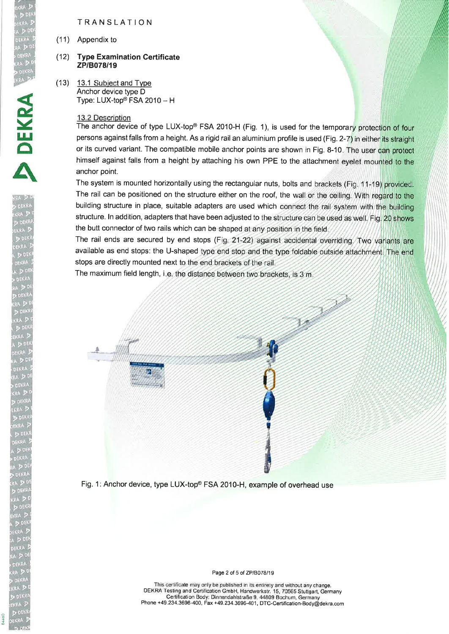# TRANSLATION

(11) Appendix to

#### (12) Type Examination Certificate zPlB078l19

 $(13)$  13.1 Subject and Type Anchor device type D Type:  $LUX-top<sup>®</sup> FSA 2010 - H$ 

### 13.2 Description

The anchor device of type LUX-top® FSA 2010-H (Fig. 1), is used for the temporary protection of four persons against falls from a height. As a rigid rail an aluminium profile is used (Fig. 2-7) in either its straight or its curved variant. The compatible mobile anchor points are shown in Fig. 8-10. The user can protect himself against falls from a height by attaching his own PPE to the attachment eyelet mounted to the anchor point.

The system is mounted horizontally using the rectangular nuts, bolts and brackets (Fig. 11-19) provided The rail can be positioned on the structure either on the roof, the wall or the ceiling. With regard to the building structure in place, suitable adapters are used which connect the rail system with the building structure. In addition, adapters that have been adjusted to the structure can be used as well. Fig. 20 shows the butt connector of two rails which can be shaped at any position in the field.

The rail ends are secured by end stops ( F available as end stops: the U-shaped type end stop and the type foldable outside attachment. The end stops are directly mounted next to the end brackets of the rail.

The maximum field length, i.e. the distance between two brackets, is 3 m



Fig. 1: Anchor device, type LUX-top® FSA 2010-H, example of overhead use

Page 2 of 5 of ZP/B078/19

This certificate may only be published in its entirety and without any change. DEKRA Testing and Certification GmbH, Handwerkstr. 15, 70565 Stuttgart, Germany Certification Body: Dinnendahlstraße g, 44809 Bochum, Germany Phone +49.234.3696-400, Fax +49.234.3696-401, DTc-Certification-Body@dekra.com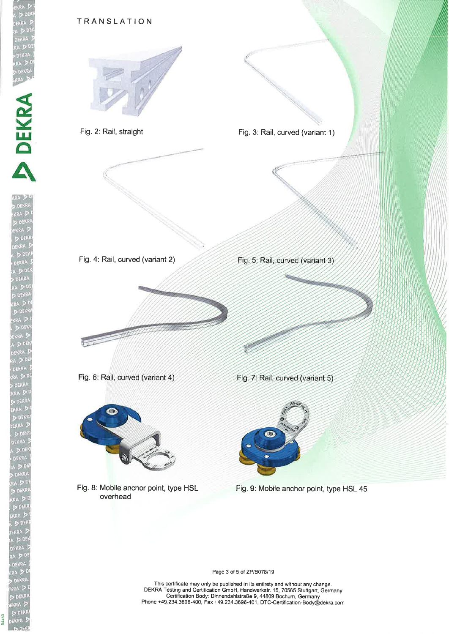

Page 3 of 5 of ZP/B078/19

This cerlificate may only be published in its entirety and without any change. DEKRA Testing and Certification GmbH, Handwerkstr. 15, 7056S Stuttgart, Germany Certification Body: Dinnendahlstraße 9, 44809 Bochum, Germany Phone +49-234.3696-400, Fax +49.234.3696-401, DTC-Certification-Body@dekra.com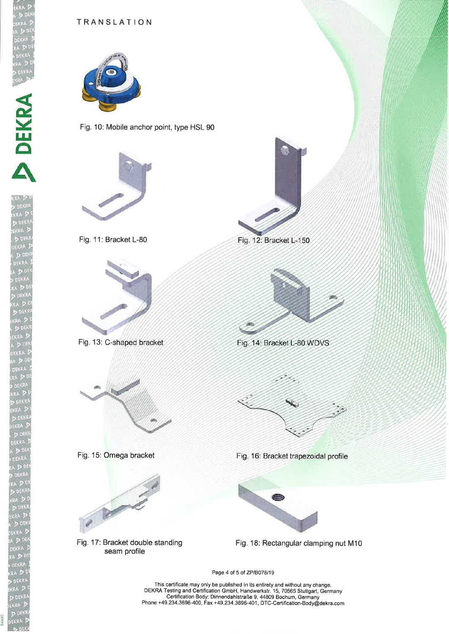